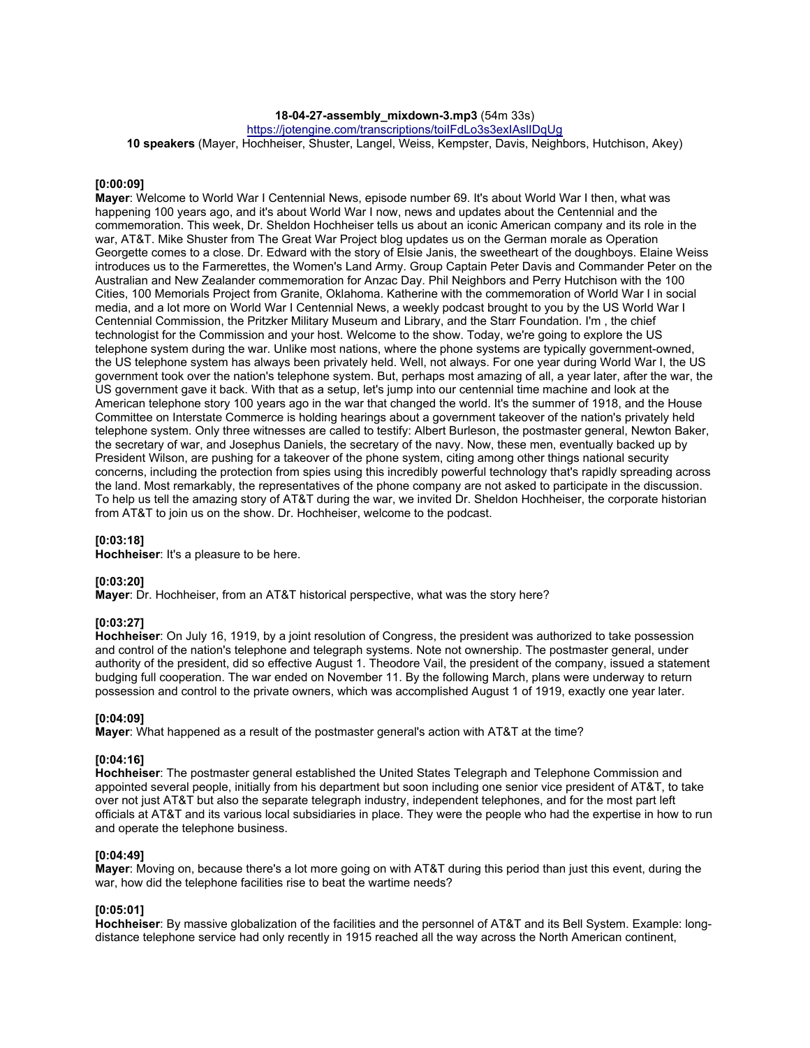## **18-04-27-assembly\_mixdown-3.mp3** (54m 33s)

https://jotengine.com/transcriptions/toiIFdLo3s3exIAslIDqUg

**10 speakers** (Mayer, Hochheiser, Shuster, Langel, Weiss, Kempster, Davis, Neighbors, Hutchison, Akey)

### **[0:00:09]**

**Mayer**: Welcome to World War I Centennial News, episode number 69. It's about World War I then, what was happening 100 years ago, and it's about World War I now, news and updates about the Centennial and the commemoration. This week, Dr. Sheldon Hochheiser tells us about an iconic American company and its role in the war, AT&T. Mike Shuster from The Great War Project blog updates us on the German morale as Operation Georgette comes to a close. Dr. Edward with the story of Elsie Janis, the sweetheart of the doughboys. Elaine Weiss introduces us to the Farmerettes, the Women's Land Army. Group Captain Peter Davis and Commander Peter on the Australian and New Zealander commemoration for Anzac Day. Phil Neighbors and Perry Hutchison with the 100 Cities, 100 Memorials Project from Granite, Oklahoma. Katherine with the commemoration of World War I in social media, and a lot more on World War I Centennial News, a weekly podcast brought to you by the US World War I Centennial Commission, the Pritzker Military Museum and Library, and the Starr Foundation. I'm , the chief technologist for the Commission and your host. Welcome to the show. Today, we're going to explore the US telephone system during the war. Unlike most nations, where the phone systems are typically government-owned, the US telephone system has always been privately held. Well, not always. For one year during World War I, the US government took over the nation's telephone system. But, perhaps most amazing of all, a year later, after the war, the US government gave it back. With that as a setup, let's jump into our centennial time machine and look at the American telephone story 100 years ago in the war that changed the world. It's the summer of 1918, and the House Committee on Interstate Commerce is holding hearings about a government takeover of the nation's privately held telephone system. Only three witnesses are called to testify: Albert Burleson, the postmaster general, Newton Baker, the secretary of war, and Josephus Daniels, the secretary of the navy. Now, these men, eventually backed up by President Wilson, are pushing for a takeover of the phone system, citing among other things national security concerns, including the protection from spies using this incredibly powerful technology that's rapidly spreading across the land. Most remarkably, the representatives of the phone company are not asked to participate in the discussion. To help us tell the amazing story of AT&T during the war, we invited Dr. Sheldon Hochheiser, the corporate historian from AT&T to join us on the show. Dr. Hochheiser, welcome to the podcast.

#### **[0:03:18]**

**Hochheiser**: It's a pleasure to be here.

### **[0:03:20]**

**Mayer**: Dr. Hochheiser, from an AT&T historical perspective, what was the story here?

# **[0:03:27]**

**Hochheiser**: On July 16, 1919, by a joint resolution of Congress, the president was authorized to take possession and control of the nation's telephone and telegraph systems. Note not ownership. The postmaster general, under authority of the president, did so effective August 1. Theodore Vail, the president of the company, issued a statement budging full cooperation. The war ended on November 11. By the following March, plans were underway to return possession and control to the private owners, which was accomplished August 1 of 1919, exactly one year later.

#### **[0:04:09]**

**Mayer**: What happened as a result of the postmaster general's action with AT&T at the time?

## **[0:04:16]**

**Hochheiser**: The postmaster general established the United States Telegraph and Telephone Commission and appointed several people, initially from his department but soon including one senior vice president of AT&T, to take over not just AT&T but also the separate telegraph industry, independent telephones, and for the most part left officials at AT&T and its various local subsidiaries in place. They were the people who had the expertise in how to run and operate the telephone business.

## **[0:04:49]**

**Mayer**: Moving on, because there's a lot more going on with AT&T during this period than just this event, during the war, how did the telephone facilities rise to beat the wartime needs?

## **[0:05:01]**

**Hochheiser**: By massive globalization of the facilities and the personnel of AT&T and its Bell System. Example: longdistance telephone service had only recently in 1915 reached all the way across the North American continent,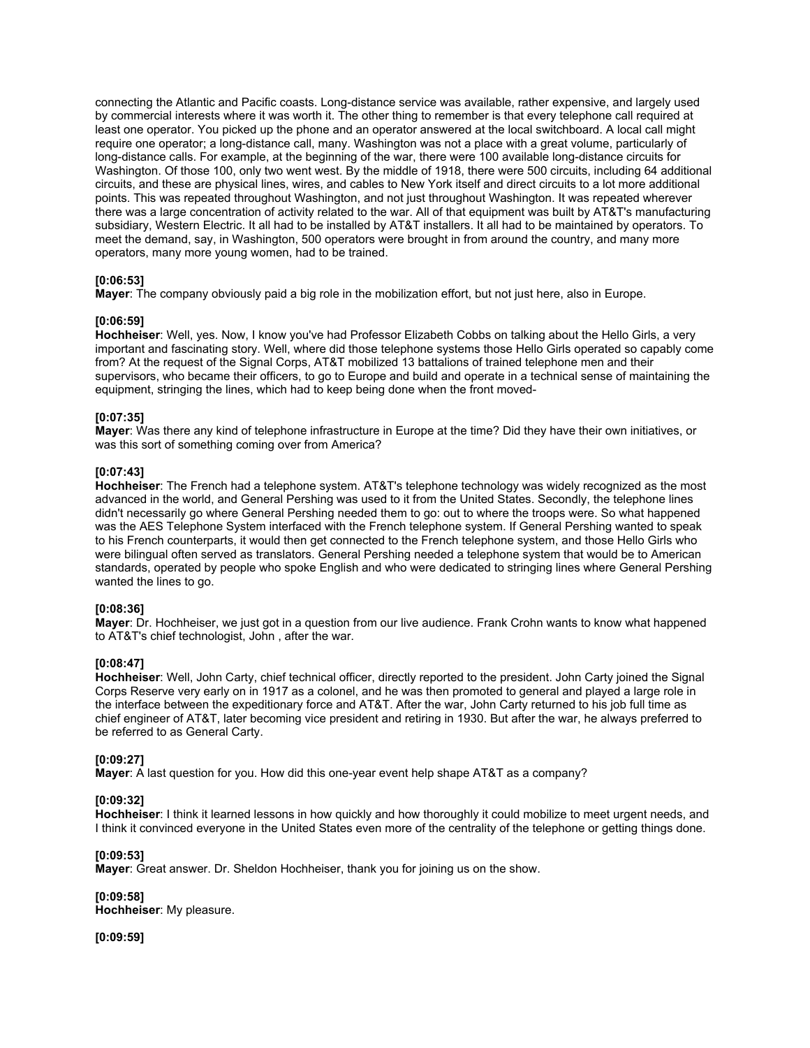connecting the Atlantic and Pacific coasts. Long-distance service was available, rather expensive, and largely used by commercial interests where it was worth it. The other thing to remember is that every telephone call required at least one operator. You picked up the phone and an operator answered at the local switchboard. A local call might require one operator; a long-distance call, many. Washington was not a place with a great volume, particularly of long-distance calls. For example, at the beginning of the war, there were 100 available long-distance circuits for Washington. Of those 100, only two went west. By the middle of 1918, there were 500 circuits, including 64 additional circuits, and these are physical lines, wires, and cables to New York itself and direct circuits to a lot more additional points. This was repeated throughout Washington, and not just throughout Washington. It was repeated wherever there was a large concentration of activity related to the war. All of that equipment was built by AT&T's manufacturing subsidiary, Western Electric. It all had to be installed by AT&T installers. It all had to be maintained by operators. To meet the demand, say, in Washington, 500 operators were brought in from around the country, and many more operators, many more young women, had to be trained.

## **[0:06:53]**

**Mayer**: The company obviously paid a big role in the mobilization effort, but not just here, also in Europe.

## **[0:06:59]**

**Hochheiser**: Well, yes. Now, I know you've had Professor Elizabeth Cobbs on talking about the Hello Girls, a very important and fascinating story. Well, where did those telephone systems those Hello Girls operated so capably come from? At the request of the Signal Corps, AT&T mobilized 13 battalions of trained telephone men and their supervisors, who became their officers, to go to Europe and build and operate in a technical sense of maintaining the equipment, stringing the lines, which had to keep being done when the front moved-

## **[0:07:35]**

**Mayer**: Was there any kind of telephone infrastructure in Europe at the time? Did they have their own initiatives, or was this sort of something coming over from America?

## **[0:07:43]**

**Hochheiser**: The French had a telephone system. AT&T's telephone technology was widely recognized as the most advanced in the world, and General Pershing was used to it from the United States. Secondly, the telephone lines didn't necessarily go where General Pershing needed them to go: out to where the troops were. So what happened was the AES Telephone System interfaced with the French telephone system. If General Pershing wanted to speak to his French counterparts, it would then get connected to the French telephone system, and those Hello Girls who were bilingual often served as translators. General Pershing needed a telephone system that would be to American standards, operated by people who spoke English and who were dedicated to stringing lines where General Pershing wanted the lines to go.

## **[0:08:36]**

**Mayer**: Dr. Hochheiser, we just got in a question from our live audience. Frank Crohn wants to know what happened to AT&T's chief technologist, John , after the war.

## **[0:08:47]**

**Hochheiser**: Well, John Carty, chief technical officer, directly reported to the president. John Carty joined the Signal Corps Reserve very early on in 1917 as a colonel, and he was then promoted to general and played a large role in the interface between the expeditionary force and AT&T. After the war, John Carty returned to his job full time as chief engineer of AT&T, later becoming vice president and retiring in 1930. But after the war, he always preferred to be referred to as General Carty.

## **[0:09:27]**

**Mayer**: A last question for you. How did this one-year event help shape AT&T as a company?

## **[0:09:32]**

**Hochheiser**: I think it learned lessons in how quickly and how thoroughly it could mobilize to meet urgent needs, and I think it convinced everyone in the United States even more of the centrality of the telephone or getting things done.

## **[0:09:53]**

**Mayer**: Great answer. Dr. Sheldon Hochheiser, thank you for joining us on the show.

**[0:09:58] Hochheiser**: My pleasure.

**[0:09:59]**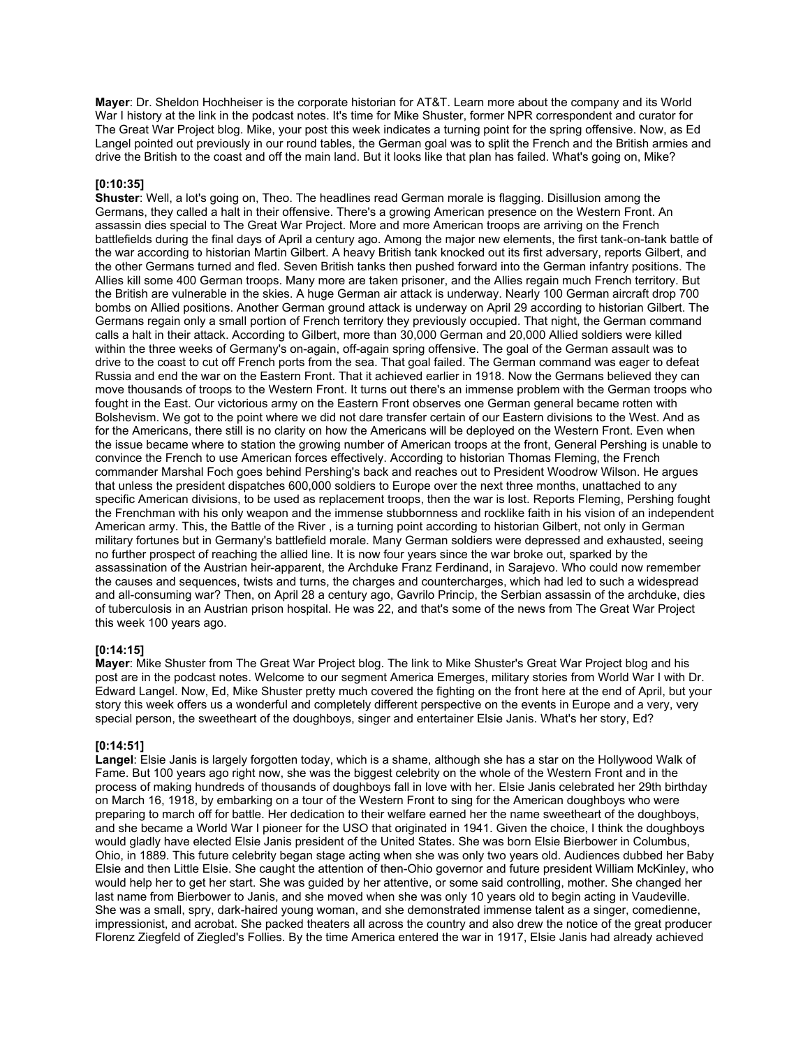**Mayer**: Dr. Sheldon Hochheiser is the corporate historian for AT&T. Learn more about the company and its World War I history at the link in the podcast notes. It's time for Mike Shuster, former NPR correspondent and curator for The Great War Project blog. Mike, your post this week indicates a turning point for the spring offensive. Now, as Ed Langel pointed out previously in our round tables, the German goal was to split the French and the British armies and drive the British to the coast and off the main land. But it looks like that plan has failed. What's going on, Mike?

## **[0:10:35]**

**Shuster**: Well, a lot's going on, Theo. The headlines read German morale is flagging. Disillusion among the Germans, they called a halt in their offensive. There's a growing American presence on the Western Front. An assassin dies special to The Great War Project. More and more American troops are arriving on the French battlefields during the final days of April a century ago. Among the major new elements, the first tank-on-tank battle of the war according to historian Martin Gilbert. A heavy British tank knocked out its first adversary, reports Gilbert, and the other Germans turned and fled. Seven British tanks then pushed forward into the German infantry positions. The Allies kill some 400 German troops. Many more are taken prisoner, and the Allies regain much French territory. But the British are vulnerable in the skies. A huge German air attack is underway. Nearly 100 German aircraft drop 700 bombs on Allied positions. Another German ground attack is underway on April 29 according to historian Gilbert. The Germans regain only a small portion of French territory they previously occupied. That night, the German command calls a halt in their attack. According to Gilbert, more than 30,000 German and 20,000 Allied soldiers were killed within the three weeks of Germany's on-again, off-again spring offensive. The goal of the German assault was to drive to the coast to cut off French ports from the sea. That goal failed. The German command was eager to defeat Russia and end the war on the Eastern Front. That it achieved earlier in 1918. Now the Germans believed they can move thousands of troops to the Western Front. It turns out there's an immense problem with the German troops who fought in the East. Our victorious army on the Eastern Front observes one German general became rotten with Bolshevism. We got to the point where we did not dare transfer certain of our Eastern divisions to the West. And as for the Americans, there still is no clarity on how the Americans will be deployed on the Western Front. Even when the issue became where to station the growing number of American troops at the front, General Pershing is unable to convince the French to use American forces effectively. According to historian Thomas Fleming, the French commander Marshal Foch goes behind Pershing's back and reaches out to President Woodrow Wilson. He argues that unless the president dispatches 600,000 soldiers to Europe over the next three months, unattached to any specific American divisions, to be used as replacement troops, then the war is lost. Reports Fleming, Pershing fought the Frenchman with his only weapon and the immense stubbornness and rocklike faith in his vision of an independent American army. This, the Battle of the River , is a turning point according to historian Gilbert, not only in German military fortunes but in Germany's battlefield morale. Many German soldiers were depressed and exhausted, seeing no further prospect of reaching the allied line. It is now four years since the war broke out, sparked by the assassination of the Austrian heir-apparent, the Archduke Franz Ferdinand, in Sarajevo. Who could now remember the causes and sequences, twists and turns, the charges and countercharges, which had led to such a widespread and all-consuming war? Then, on April 28 a century ago, Gavrilo Princip, the Serbian assassin of the archduke, dies of tuberculosis in an Austrian prison hospital. He was 22, and that's some of the news from The Great War Project this week 100 years ago.

## **[0:14:15]**

**Mayer**: Mike Shuster from The Great War Project blog. The link to Mike Shuster's Great War Project blog and his post are in the podcast notes. Welcome to our segment America Emerges, military stories from World War I with Dr. Edward Langel. Now, Ed, Mike Shuster pretty much covered the fighting on the front here at the end of April, but your story this week offers us a wonderful and completely different perspective on the events in Europe and a very, very special person, the sweetheart of the doughboys, singer and entertainer Elsie Janis. What's her story, Ed?

## **[0:14:51]**

**Langel**: Elsie Janis is largely forgotten today, which is a shame, although she has a star on the Hollywood Walk of Fame. But 100 years ago right now, she was the biggest celebrity on the whole of the Western Front and in the process of making hundreds of thousands of doughboys fall in love with her. Elsie Janis celebrated her 29th birthday on March 16, 1918, by embarking on a tour of the Western Front to sing for the American doughboys who were preparing to march off for battle. Her dedication to their welfare earned her the name sweetheart of the doughboys, and she became a World War I pioneer for the USO that originated in 1941. Given the choice, I think the doughboys would gladly have elected Elsie Janis president of the United States. She was born Elsie Bierbower in Columbus, Ohio, in 1889. This future celebrity began stage acting when she was only two years old. Audiences dubbed her Baby Elsie and then Little Elsie. She caught the attention of then-Ohio governor and future president William McKinley, who would help her to get her start. She was guided by her attentive, or some said controlling, mother. She changed her last name from Bierbower to Janis, and she moved when she was only 10 years old to begin acting in Vaudeville. She was a small, spry, dark-haired young woman, and she demonstrated immense talent as a singer, comedienne, impressionist, and acrobat. She packed theaters all across the country and also drew the notice of the great producer Florenz Ziegfeld of Ziegled's Follies. By the time America entered the war in 1917, Elsie Janis had already achieved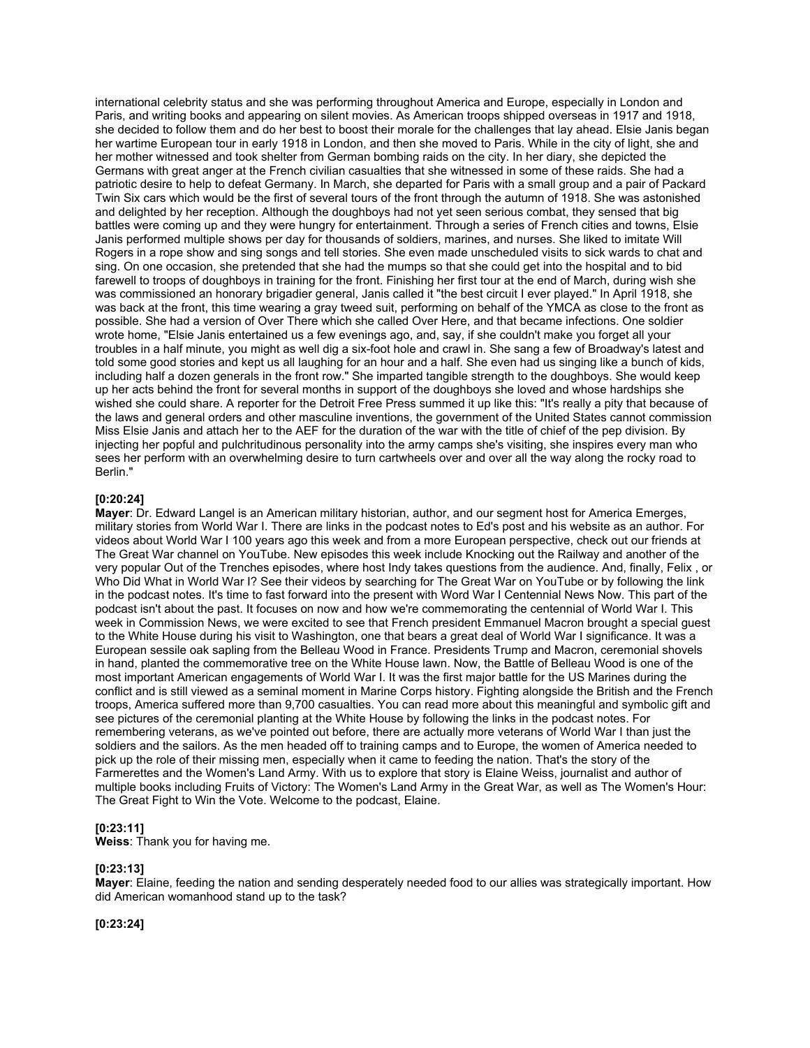international celebrity status and she was performing throughout America and Europe, especially in London and Paris, and writing books and appearing on silent movies. As American troops shipped overseas in 1917 and 1918, she decided to follow them and do her best to boost their morale for the challenges that lay ahead. Elsie Janis began her wartime European tour in early 1918 in London, and then she moved to Paris. While in the city of light, she and her mother witnessed and took shelter from German bombing raids on the city. In her diary, she depicted the Germans with great anger at the French civilian casualties that she witnessed in some of these raids. She had a patriotic desire to help to defeat Germany. In March, she departed for Paris with a small group and a pair of Packard Twin Six cars which would be the first of several tours of the front through the autumn of 1918. She was astonished and delighted by her reception. Although the doughboys had not yet seen serious combat, they sensed that big battles were coming up and they were hungry for entertainment. Through a series of French cities and towns, Elsie Janis performed multiple shows per day for thousands of soldiers, marines, and nurses. She liked to imitate Will Rogers in a rope show and sing songs and tell stories. She even made unscheduled visits to sick wards to chat and sing. On one occasion, she pretended that she had the mumps so that she could get into the hospital and to bid farewell to troops of doughboys in training for the front. Finishing her first tour at the end of March, during wish she was commissioned an honorary brigadier general, Janis called it "the best circuit I ever played." In April 1918, she was back at the front, this time wearing a gray tweed suit, performing on behalf of the YMCA as close to the front as possible. She had a version of Over There which she called Over Here, and that became infections. One soldier wrote home, "Elsie Janis entertained us a few evenings ago, and, say, if she couldn't make you forget all your troubles in a half minute, you might as well dig a six-foot hole and crawl in. She sang a few of Broadway's latest and told some good stories and kept us all laughing for an hour and a half. She even had us singing like a bunch of kids, including half a dozen generals in the front row." She imparted tangible strength to the doughboys. She would keep up her acts behind the front for several months in support of the doughboys she loved and whose hardships she wished she could share. A reporter for the Detroit Free Press summed it up like this: "It's really a pity that because of the laws and general orders and other masculine inventions, the government of the United States cannot commission Miss Elsie Janis and attach her to the AEF for the duration of the war with the title of chief of the pep division. By injecting her popful and pulchritudinous personality into the army camps she's visiting, she inspires every man who sees her perform with an overwhelming desire to turn cartwheels over and over all the way along the rocky road to Berlin."

#### **[0:20:24]**

**Mayer**: Dr. Edward Langel is an American military historian, author, and our segment host for America Emerges, military stories from World War I. There are links in the podcast notes to Ed's post and his website as an author. For videos about World War I 100 years ago this week and from a more European perspective, check out our friends at The Great War channel on YouTube. New episodes this week include Knocking out the Railway and another of the very popular Out of the Trenches episodes, where host Indy takes questions from the audience. And, finally, Felix , or Who Did What in World War I? See their videos by searching for The Great War on YouTube or by following the link in the podcast notes. It's time to fast forward into the present with Word War I Centennial News Now. This part of the podcast isn't about the past. It focuses on now and how we're commemorating the centennial of World War I. This week in Commission News, we were excited to see that French president Emmanuel Macron brought a special guest to the White House during his visit to Washington, one that bears a great deal of World War I significance. It was a European sessile oak sapling from the Belleau Wood in France. Presidents Trump and Macron, ceremonial shovels in hand, planted the commemorative tree on the White House lawn. Now, the Battle of Belleau Wood is one of the most important American engagements of World War I. It was the first major battle for the US Marines during the conflict and is still viewed as a seminal moment in Marine Corps history. Fighting alongside the British and the French troops, America suffered more than 9,700 casualties. You can read more about this meaningful and symbolic gift and see pictures of the ceremonial planting at the White House by following the links in the podcast notes. For remembering veterans, as we've pointed out before, there are actually more veterans of World War I than just the soldiers and the sailors. As the men headed off to training camps and to Europe, the women of America needed to pick up the role of their missing men, especially when it came to feeding the nation. That's the story of the Farmerettes and the Women's Land Army. With us to explore that story is Elaine Weiss, journalist and author of multiple books including Fruits of Victory: The Women's Land Army in the Great War, as well as The Women's Hour: The Great Fight to Win the Vote. Welcome to the podcast, Elaine.

### **[0:23:11]**

**Weiss**: Thank you for having me.

## **[0:23:13]**

**Mayer**: Elaine, feeding the nation and sending desperately needed food to our allies was strategically important. How did American womanhood stand up to the task?

## **[0:23:24]**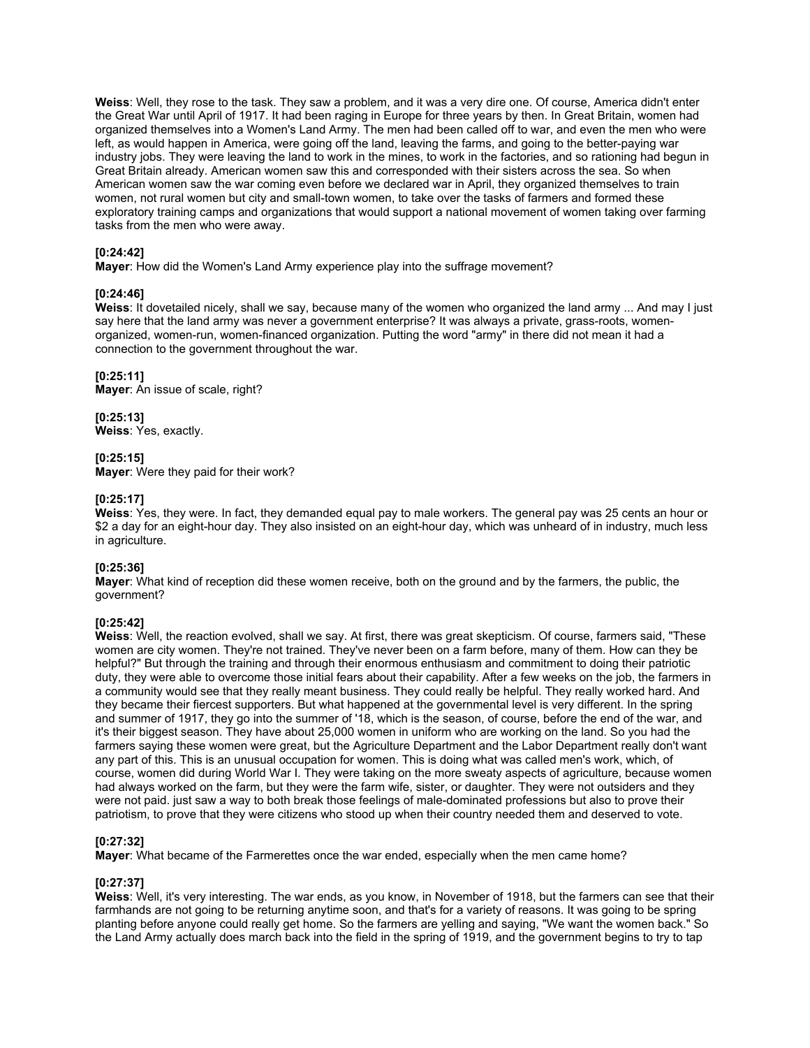**Weiss**: Well, they rose to the task. They saw a problem, and it was a very dire one. Of course, America didn't enter the Great War until April of 1917. It had been raging in Europe for three years by then. In Great Britain, women had organized themselves into a Women's Land Army. The men had been called off to war, and even the men who were left, as would happen in America, were going off the land, leaving the farms, and going to the better-paying war industry jobs. They were leaving the land to work in the mines, to work in the factories, and so rationing had begun in Great Britain already. American women saw this and corresponded with their sisters across the sea. So when American women saw the war coming even before we declared war in April, they organized themselves to train women, not rural women but city and small-town women, to take over the tasks of farmers and formed these exploratory training camps and organizations that would support a national movement of women taking over farming tasks from the men who were away.

## **[0:24:42]**

**Mayer**: How did the Women's Land Army experience play into the suffrage movement?

## **[0:24:46]**

**Weiss**: It dovetailed nicely, shall we say, because many of the women who organized the land army ... And may I just say here that the land army was never a government enterprise? It was always a private, grass-roots, womenorganized, women-run, women-financed organization. Putting the word "army" in there did not mean it had a connection to the government throughout the war.

## **[0:25:11]**

**Mayer**: An issue of scale, right?

**[0:25:13] Weiss**: Yes, exactly.

## **[0:25:15]**

**Mayer**: Were they paid for their work?

## **[0:25:17]**

**Weiss**: Yes, they were. In fact, they demanded equal pay to male workers. The general pay was 25 cents an hour or \$2 a day for an eight-hour day. They also insisted on an eight-hour day, which was unheard of in industry, much less in agriculture.

## **[0:25:36]**

**Mayer**: What kind of reception did these women receive, both on the ground and by the farmers, the public, the government?

# **[0:25:42]**

**Weiss**: Well, the reaction evolved, shall we say. At first, there was great skepticism. Of course, farmers said, "These women are city women. They're not trained. They've never been on a farm before, many of them. How can they be helpful?" But through the training and through their enormous enthusiasm and commitment to doing their patriotic duty, they were able to overcome those initial fears about their capability. After a few weeks on the job, the farmers in a community would see that they really meant business. They could really be helpful. They really worked hard. And they became their fiercest supporters. But what happened at the governmental level is very different. In the spring and summer of 1917, they go into the summer of '18, which is the season, of course, before the end of the war, and it's their biggest season. They have about 25,000 women in uniform who are working on the land. So you had the farmers saying these women were great, but the Agriculture Department and the Labor Department really don't want any part of this. This is an unusual occupation for women. This is doing what was called men's work, which, of course, women did during World War I. They were taking on the more sweaty aspects of agriculture, because women had always worked on the farm, but they were the farm wife, sister, or daughter. They were not outsiders and they were not paid. just saw a way to both break those feelings of male-dominated professions but also to prove their patriotism, to prove that they were citizens who stood up when their country needed them and deserved to vote.

## **[0:27:32]**

**Mayer**: What became of the Farmerettes once the war ended, especially when the men came home?

## **[0:27:37]**

**Weiss**: Well, it's very interesting. The war ends, as you know, in November of 1918, but the farmers can see that their farmhands are not going to be returning anytime soon, and that's for a variety of reasons. It was going to be spring planting before anyone could really get home. So the farmers are yelling and saying, "We want the women back." So the Land Army actually does march back into the field in the spring of 1919, and the government begins to try to tap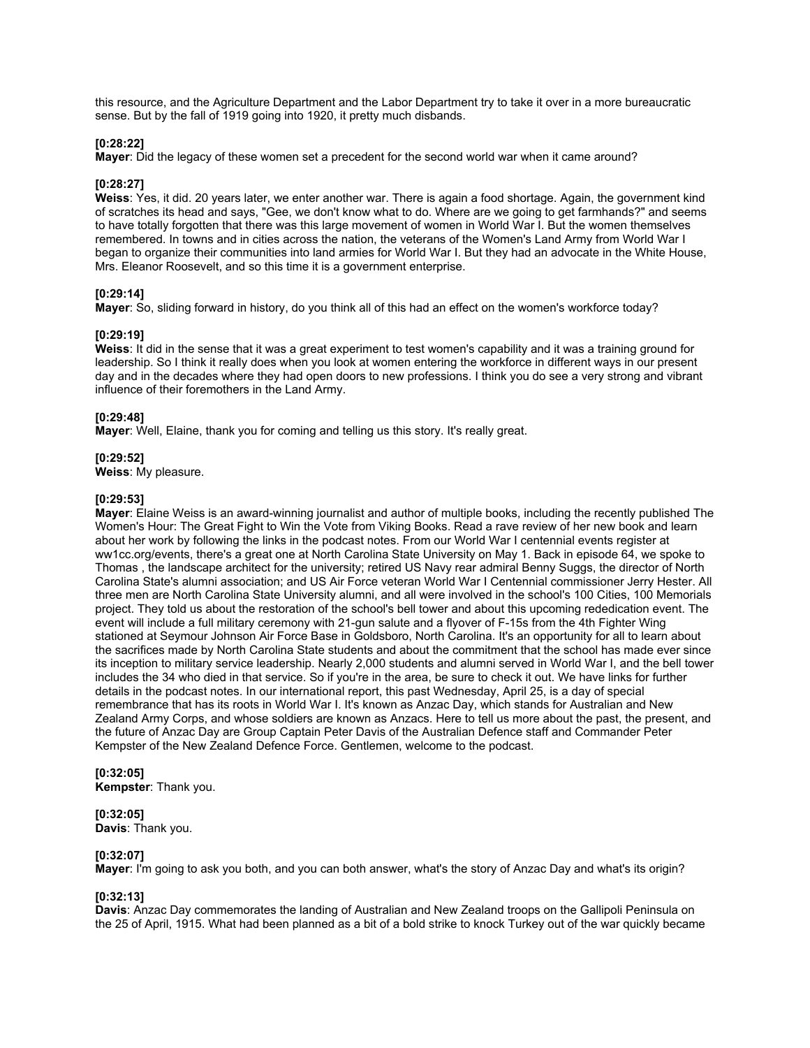this resource, and the Agriculture Department and the Labor Department try to take it over in a more bureaucratic sense. But by the fall of 1919 going into 1920, it pretty much disbands.

### **[0:28:22]**

**Mayer**: Did the legacy of these women set a precedent for the second world war when it came around?

#### **[0:28:27]**

**Weiss**: Yes, it did. 20 years later, we enter another war. There is again a food shortage. Again, the government kind of scratches its head and says, "Gee, we don't know what to do. Where are we going to get farmhands?" and seems to have totally forgotten that there was this large movement of women in World War I. But the women themselves remembered. In towns and in cities across the nation, the veterans of the Women's Land Army from World War I began to organize their communities into land armies for World War I. But they had an advocate in the White House, Mrs. Eleanor Roosevelt, and so this time it is a government enterprise.

#### **[0:29:14]**

**Mayer**: So, sliding forward in history, do you think all of this had an effect on the women's workforce today?

#### **[0:29:19]**

**Weiss**: It did in the sense that it was a great experiment to test women's capability and it was a training ground for leadership. So I think it really does when you look at women entering the workforce in different ways in our present day and in the decades where they had open doors to new professions. I think you do see a very strong and vibrant influence of their foremothers in the Land Army.

#### **[0:29:48]**

**Mayer**: Well, Elaine, thank you for coming and telling us this story. It's really great.

#### **[0:29:52]**

**Weiss**: My pleasure.

#### **[0:29:53]**

**Mayer**: Elaine Weiss is an award-winning journalist and author of multiple books, including the recently published The Women's Hour: The Great Fight to Win the Vote from Viking Books. Read a rave review of her new book and learn about her work by following the links in the podcast notes. From our World War I centennial events register at ww1cc.org/events, there's a great one at North Carolina State University on May 1. Back in episode 64, we spoke to Thomas , the landscape architect for the university; retired US Navy rear admiral Benny Suggs, the director of North Carolina State's alumni association; and US Air Force veteran World War I Centennial commissioner Jerry Hester. All three men are North Carolina State University alumni, and all were involved in the school's 100 Cities, 100 Memorials project. They told us about the restoration of the school's bell tower and about this upcoming rededication event. The event will include a full military ceremony with 21-gun salute and a flyover of F-15s from the 4th Fighter Wing stationed at Seymour Johnson Air Force Base in Goldsboro, North Carolina. It's an opportunity for all to learn about the sacrifices made by North Carolina State students and about the commitment that the school has made ever since its inception to military service leadership. Nearly 2,000 students and alumni served in World War I, and the bell tower includes the 34 who died in that service. So if you're in the area, be sure to check it out. We have links for further details in the podcast notes. In our international report, this past Wednesday, April 25, is a day of special remembrance that has its roots in World War I. It's known as Anzac Day, which stands for Australian and New Zealand Army Corps, and whose soldiers are known as Anzacs. Here to tell us more about the past, the present, and the future of Anzac Day are Group Captain Peter Davis of the Australian Defence staff and Commander Peter Kempster of the New Zealand Defence Force. Gentlemen, welcome to the podcast.

## **[0:32:05]**

**Kempster**: Thank you.

## **[0:32:05]**

**Davis**: Thank you.

## **[0:32:07]**

**Mayer**: I'm going to ask you both, and you can both answer, what's the story of Anzac Day and what's its origin?

## **[0:32:13]**

**Davis**: Anzac Day commemorates the landing of Australian and New Zealand troops on the Gallipoli Peninsula on the 25 of April, 1915. What had been planned as a bit of a bold strike to knock Turkey out of the war quickly became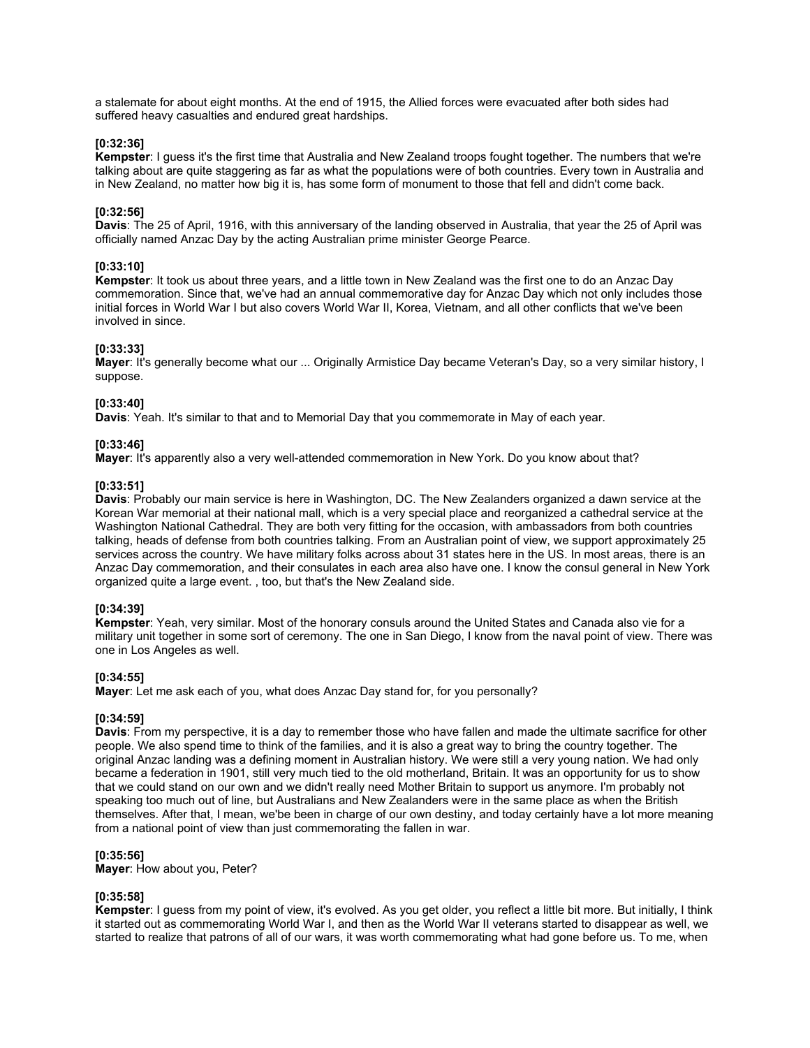a stalemate for about eight months. At the end of 1915, the Allied forces were evacuated after both sides had suffered heavy casualties and endured great hardships.

### **[0:32:36]**

**Kempster**: I guess it's the first time that Australia and New Zealand troops fought together. The numbers that we're talking about are quite staggering as far as what the populations were of both countries. Every town in Australia and in New Zealand, no matter how big it is, has some form of monument to those that fell and didn't come back.

## **[0:32:56]**

**Davis**: The 25 of April, 1916, with this anniversary of the landing observed in Australia, that year the 25 of April was officially named Anzac Day by the acting Australian prime minister George Pearce.

## **[0:33:10]**

**Kempster**: It took us about three years, and a little town in New Zealand was the first one to do an Anzac Day commemoration. Since that, we've had an annual commemorative day for Anzac Day which not only includes those initial forces in World War I but also covers World War II, Korea, Vietnam, and all other conflicts that we've been involved in since.

#### **[0:33:33]**

**Mayer**: It's generally become what our ... Originally Armistice Day became Veteran's Day, so a very similar history, I suppose.

#### **[0:33:40]**

**Davis**: Yeah. It's similar to that and to Memorial Day that you commemorate in May of each year.

## **[0:33:46]**

**Mayer**: It's apparently also a very well-attended commemoration in New York. Do you know about that?

#### **[0:33:51]**

**Davis**: Probably our main service is here in Washington, DC. The New Zealanders organized a dawn service at the Korean War memorial at their national mall, which is a very special place and reorganized a cathedral service at the Washington National Cathedral. They are both very fitting for the occasion, with ambassadors from both countries talking, heads of defense from both countries talking. From an Australian point of view, we support approximately 25 services across the country. We have military folks across about 31 states here in the US. In most areas, there is an Anzac Day commemoration, and their consulates in each area also have one. I know the consul general in New York organized quite a large event. , too, but that's the New Zealand side.

#### **[0:34:39]**

**Kempster**: Yeah, very similar. Most of the honorary consuls around the United States and Canada also vie for a military unit together in some sort of ceremony. The one in San Diego, I know from the naval point of view. There was one in Los Angeles as well.

## **[0:34:55]**

**Mayer**: Let me ask each of you, what does Anzac Day stand for, for you personally?

#### **[0:34:59]**

**Davis**: From my perspective, it is a day to remember those who have fallen and made the ultimate sacrifice for other people. We also spend time to think of the families, and it is also a great way to bring the country together. The original Anzac landing was a defining moment in Australian history. We were still a very young nation. We had only became a federation in 1901, still very much tied to the old motherland, Britain. It was an opportunity for us to show that we could stand on our own and we didn't really need Mother Britain to support us anymore. I'm probably not speaking too much out of line, but Australians and New Zealanders were in the same place as when the British themselves. After that, I mean, we'be been in charge of our own destiny, and today certainly have a lot more meaning from a national point of view than just commemorating the fallen in war.

## **[0:35:56]**

**Mayer**: How about you, Peter?

#### **[0:35:58]**

**Kempster**: I guess from my point of view, it's evolved. As you get older, you reflect a little bit more. But initially, I think it started out as commemorating World War I, and then as the World War II veterans started to disappear as well, we started to realize that patrons of all of our wars, it was worth commemorating what had gone before us. To me, when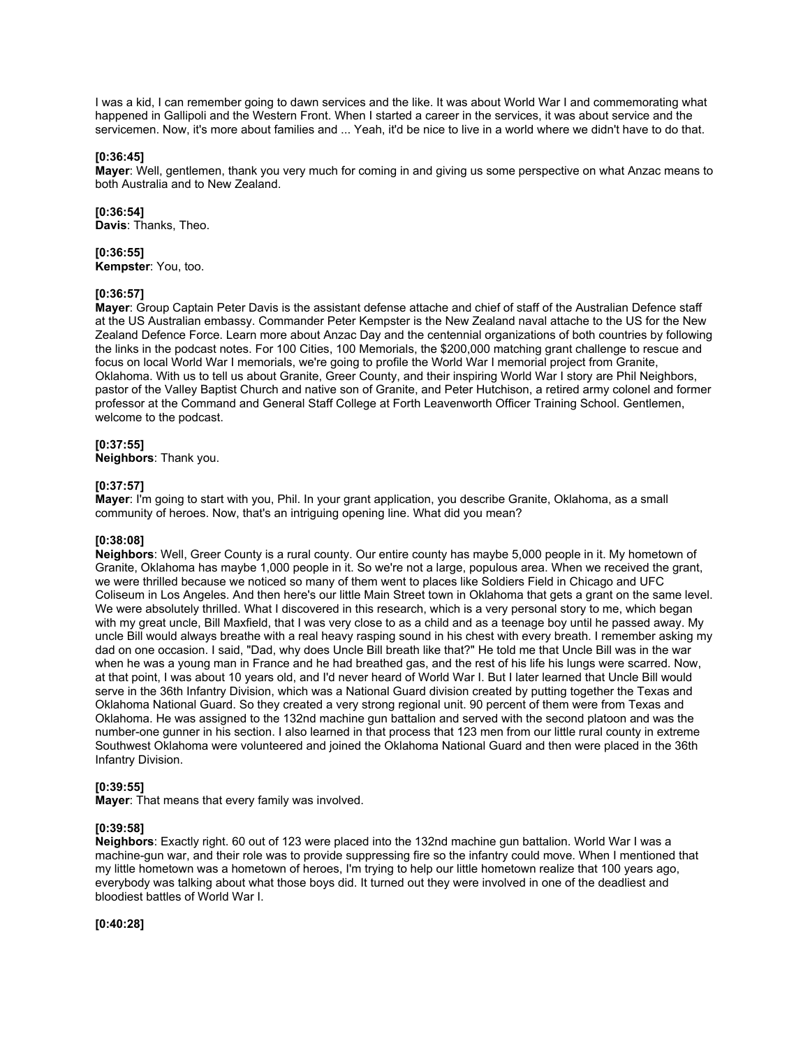I was a kid, I can remember going to dawn services and the like. It was about World War I and commemorating what happened in Gallipoli and the Western Front. When I started a career in the services, it was about service and the servicemen. Now, it's more about families and ... Yeah, it'd be nice to live in a world where we didn't have to do that.

## **[0:36:45]**

**Mayer**: Well, gentlemen, thank you very much for coming in and giving us some perspective on what Anzac means to both Australia and to New Zealand.

## **[0:36:54]**

**Davis**: Thanks, Theo.

## **[0:36:55]**

**Kempster**: You, too.

## **[0:36:57]**

**Mayer**: Group Captain Peter Davis is the assistant defense attache and chief of staff of the Australian Defence staff at the US Australian embassy. Commander Peter Kempster is the New Zealand naval attache to the US for the New Zealand Defence Force. Learn more about Anzac Day and the centennial organizations of both countries by following the links in the podcast notes. For 100 Cities, 100 Memorials, the \$200,000 matching grant challenge to rescue and focus on local World War I memorials, we're going to profile the World War I memorial project from Granite, Oklahoma. With us to tell us about Granite, Greer County, and their inspiring World War I story are Phil Neighbors, pastor of the Valley Baptist Church and native son of Granite, and Peter Hutchison, a retired army colonel and former professor at the Command and General Staff College at Forth Leavenworth Officer Training School. Gentlemen, welcome to the podcast.

## **[0:37:55]**

**Neighbors**: Thank you.

## **[0:37:57]**

**Mayer**: I'm going to start with you, Phil. In your grant application, you describe Granite, Oklahoma, as a small community of heroes. Now, that's an intriguing opening line. What did you mean?

## **[0:38:08]**

**Neighbors**: Well, Greer County is a rural county. Our entire county has maybe 5,000 people in it. My hometown of Granite, Oklahoma has maybe 1,000 people in it. So we're not a large, populous area. When we received the grant, we were thrilled because we noticed so many of them went to places like Soldiers Field in Chicago and UFC Coliseum in Los Angeles. And then here's our little Main Street town in Oklahoma that gets a grant on the same level. We were absolutely thrilled. What I discovered in this research, which is a very personal story to me, which began with my great uncle, Bill Maxfield, that I was very close to as a child and as a teenage boy until he passed away. My uncle Bill would always breathe with a real heavy rasping sound in his chest with every breath. I remember asking my dad on one occasion. I said, "Dad, why does Uncle Bill breath like that?" He told me that Uncle Bill was in the war when he was a young man in France and he had breathed gas, and the rest of his life his lungs were scarred. Now, at that point, I was about 10 years old, and I'd never heard of World War I. But I later learned that Uncle Bill would serve in the 36th Infantry Division, which was a National Guard division created by putting together the Texas and Oklahoma National Guard. So they created a very strong regional unit. 90 percent of them were from Texas and Oklahoma. He was assigned to the 132nd machine gun battalion and served with the second platoon and was the number-one gunner in his section. I also learned in that process that 123 men from our little rural county in extreme Southwest Oklahoma were volunteered and joined the Oklahoma National Guard and then were placed in the 36th Infantry Division.

## **[0:39:55]**

**Mayer**: That means that every family was involved.

## **[0:39:58]**

**Neighbors**: Exactly right. 60 out of 123 were placed into the 132nd machine gun battalion. World War I was a machine-gun war, and their role was to provide suppressing fire so the infantry could move. When I mentioned that my little hometown was a hometown of heroes, I'm trying to help our little hometown realize that 100 years ago, everybody was talking about what those boys did. It turned out they were involved in one of the deadliest and bloodiest battles of World War I.

## **[0:40:28]**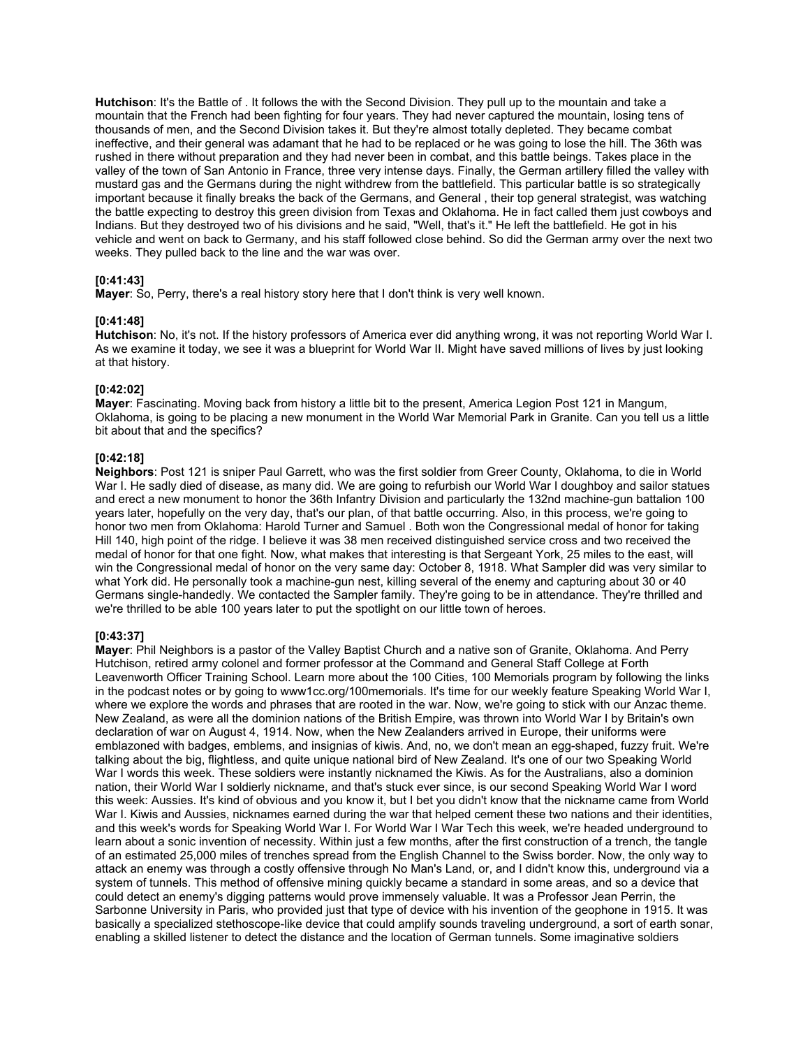**Hutchison**: It's the Battle of . It follows the with the Second Division. They pull up to the mountain and take a mountain that the French had been fighting for four years. They had never captured the mountain, losing tens of thousands of men, and the Second Division takes it. But they're almost totally depleted. They became combat ineffective, and their general was adamant that he had to be replaced or he was going to lose the hill. The 36th was rushed in there without preparation and they had never been in combat, and this battle beings. Takes place in the valley of the town of San Antonio in France, three very intense days. Finally, the German artillery filled the valley with mustard gas and the Germans during the night withdrew from the battlefield. This particular battle is so strategically important because it finally breaks the back of the Germans, and General , their top general strategist, was watching the battle expecting to destroy this green division from Texas and Oklahoma. He in fact called them just cowboys and Indians. But they destroyed two of his divisions and he said, "Well, that's it." He left the battlefield. He got in his vehicle and went on back to Germany, and his staff followed close behind. So did the German army over the next two weeks. They pulled back to the line and the war was over.

## **[0:41:43]**

**Mayer**: So, Perry, there's a real history story here that I don't think is very well known.

## **[0:41:48]**

**Hutchison**: No, it's not. If the history professors of America ever did anything wrong, it was not reporting World War I. As we examine it today, we see it was a blueprint for World War II. Might have saved millions of lives by just looking at that history.

## **[0:42:02]**

**Mayer**: Fascinating. Moving back from history a little bit to the present, America Legion Post 121 in Mangum, Oklahoma, is going to be placing a new monument in the World War Memorial Park in Granite. Can you tell us a little bit about that and the specifics?

## **[0:42:18]**

**Neighbors**: Post 121 is sniper Paul Garrett, who was the first soldier from Greer County, Oklahoma, to die in World War I. He sadly died of disease, as many did. We are going to refurbish our World War I doughboy and sailor statues and erect a new monument to honor the 36th Infantry Division and particularly the 132nd machine-gun battalion 100 years later, hopefully on the very day, that's our plan, of that battle occurring. Also, in this process, we're going to honor two men from Oklahoma: Harold Turner and Samuel . Both won the Congressional medal of honor for taking Hill 140, high point of the ridge. I believe it was 38 men received distinguished service cross and two received the medal of honor for that one fight. Now, what makes that interesting is that Sergeant York, 25 miles to the east, will win the Congressional medal of honor on the very same day: October 8, 1918. What Sampler did was very similar to what York did. He personally took a machine-gun nest, killing several of the enemy and capturing about 30 or 40 Germans single-handedly. We contacted the Sampler family. They're going to be in attendance. They're thrilled and we're thrilled to be able 100 years later to put the spotlight on our little town of heroes.

## **[0:43:37]**

**Mayer**: Phil Neighbors is a pastor of the Valley Baptist Church and a native son of Granite, Oklahoma. And Perry Hutchison, retired army colonel and former professor at the Command and General Staff College at Forth Leavenworth Officer Training School. Learn more about the 100 Cities, 100 Memorials program by following the links in the podcast notes or by going to www1cc.org/100memorials. It's time for our weekly feature Speaking World War I, where we explore the words and phrases that are rooted in the war. Now, we're going to stick with our Anzac theme. New Zealand, as were all the dominion nations of the British Empire, was thrown into World War I by Britain's own declaration of war on August 4, 1914. Now, when the New Zealanders arrived in Europe, their uniforms were emblazoned with badges, emblems, and insignias of kiwis. And, no, we don't mean an egg-shaped, fuzzy fruit. We're talking about the big, flightless, and quite unique national bird of New Zealand. It's one of our two Speaking World War I words this week. These soldiers were instantly nicknamed the Kiwis. As for the Australians, also a dominion nation, their World War I soldierly nickname, and that's stuck ever since, is our second Speaking World War I word this week: Aussies. It's kind of obvious and you know it, but I bet you didn't know that the nickname came from World War I. Kiwis and Aussies, nicknames earned during the war that helped cement these two nations and their identities, and this week's words for Speaking World War I. For World War I War Tech this week, we're headed underground to learn about a sonic invention of necessity. Within just a few months, after the first construction of a trench, the tangle of an estimated 25,000 miles of trenches spread from the English Channel to the Swiss border. Now, the only way to attack an enemy was through a costly offensive through No Man's Land, or, and I didn't know this, underground via a system of tunnels. This method of offensive mining quickly became a standard in some areas, and so a device that could detect an enemy's digging patterns would prove immensely valuable. It was a Professor Jean Perrin, the Sarbonne University in Paris, who provided just that type of device with his invention of the geophone in 1915. It was basically a specialized stethoscope-like device that could amplify sounds traveling underground, a sort of earth sonar, enabling a skilled listener to detect the distance and the location of German tunnels. Some imaginative soldiers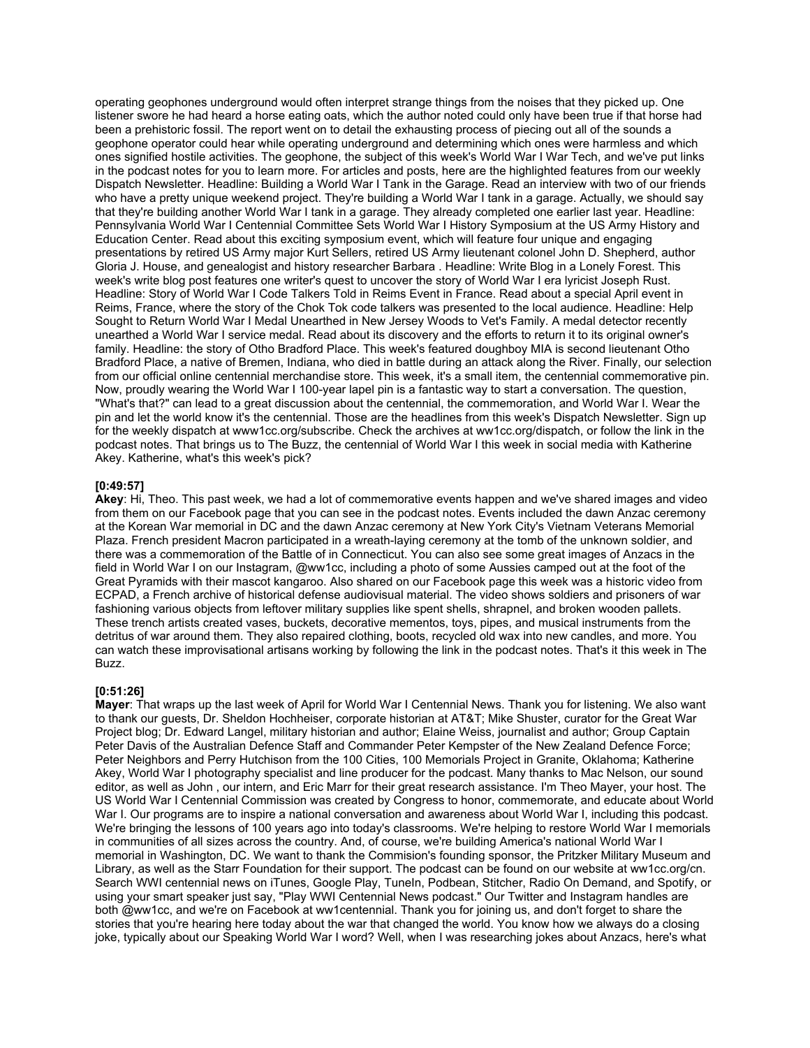operating geophones underground would often interpret strange things from the noises that they picked up. One listener swore he had heard a horse eating oats, which the author noted could only have been true if that horse had been a prehistoric fossil. The report went on to detail the exhausting process of piecing out all of the sounds a geophone operator could hear while operating underground and determining which ones were harmless and which ones signified hostile activities. The geophone, the subject of this week's World War I War Tech, and we've put links in the podcast notes for you to learn more. For articles and posts, here are the highlighted features from our weekly Dispatch Newsletter. Headline: Building a World War I Tank in the Garage. Read an interview with two of our friends who have a pretty unique weekend project. They're building a World War I tank in a garage. Actually, we should say that they're building another World War I tank in a garage. They already completed one earlier last year. Headline: Pennsylvania World War I Centennial Committee Sets World War I History Symposium at the US Army History and Education Center. Read about this exciting symposium event, which will feature four unique and engaging presentations by retired US Army major Kurt Sellers, retired US Army lieutenant colonel John D. Shepherd, author Gloria J. House, and genealogist and history researcher Barbara . Headline: Write Blog in a Lonely Forest. This week's write blog post features one writer's quest to uncover the story of World War I era lyricist Joseph Rust. Headline: Story of World War I Code Talkers Told in Reims Event in France. Read about a special April event in Reims, France, where the story of the Chok Tok code talkers was presented to the local audience. Headline: Help Sought to Return World War I Medal Unearthed in New Jersey Woods to Vet's Family. A medal detector recently unearthed a World War I service medal. Read about its discovery and the efforts to return it to its original owner's family. Headline: the story of Otho Bradford Place. This week's featured doughboy MIA is second lieutenant Otho Bradford Place, a native of Bremen, Indiana, who died in battle during an attack along the River. Finally, our selection from our official online centennial merchandise store. This week, it's a small item, the centennial commemorative pin. Now, proudly wearing the World War I 100-year lapel pin is a fantastic way to start a conversation. The question, "What's that?" can lead to a great discussion about the centennial, the commemoration, and World War I. Wear the pin and let the world know it's the centennial. Those are the headlines from this week's Dispatch Newsletter. Sign up for the weekly dispatch at www1cc.org/subscribe. Check the archives at ww1cc.org/dispatch, or follow the link in the podcast notes. That brings us to The Buzz, the centennial of World War I this week in social media with Katherine Akey. Katherine, what's this week's pick?

### **[0:49:57]**

**Akey**: Hi, Theo. This past week, we had a lot of commemorative events happen and we've shared images and video from them on our Facebook page that you can see in the podcast notes. Events included the dawn Anzac ceremony at the Korean War memorial in DC and the dawn Anzac ceremony at New York City's Vietnam Veterans Memorial Plaza. French president Macron participated in a wreath-laying ceremony at the tomb of the unknown soldier, and there was a commemoration of the Battle of in Connecticut. You can also see some great images of Anzacs in the field in World War I on our Instagram, @ww1cc, including a photo of some Aussies camped out at the foot of the Great Pyramids with their mascot kangaroo. Also shared on our Facebook page this week was a historic video from ECPAD, a French archive of historical defense audiovisual material. The video shows soldiers and prisoners of war fashioning various objects from leftover military supplies like spent shells, shrapnel, and broken wooden pallets. These trench artists created vases, buckets, decorative mementos, toys, pipes, and musical instruments from the detritus of war around them. They also repaired clothing, boots, recycled old wax into new candles, and more. You can watch these improvisational artisans working by following the link in the podcast notes. That's it this week in The Buzz.

## **[0:51:26]**

**Mayer**: That wraps up the last week of April for World War I Centennial News. Thank you for listening. We also want to thank our guests, Dr. Sheldon Hochheiser, corporate historian at AT&T; Mike Shuster, curator for the Great War Project blog; Dr. Edward Langel, military historian and author; Elaine Weiss, journalist and author; Group Captain Peter Davis of the Australian Defence Staff and Commander Peter Kempster of the New Zealand Defence Force; Peter Neighbors and Perry Hutchison from the 100 Cities, 100 Memorials Project in Granite, Oklahoma; Katherine Akey, World War I photography specialist and line producer for the podcast. Many thanks to Mac Nelson, our sound editor, as well as John , our intern, and Eric Marr for their great research assistance. I'm Theo Mayer, your host. The US World War I Centennial Commission was created by Congress to honor, commemorate, and educate about World War I. Our programs are to inspire a national conversation and awareness about World War I, including this podcast. We're bringing the lessons of 100 years ago into today's classrooms. We're helping to restore World War I memorials in communities of all sizes across the country. And, of course, we're building America's national World War I memorial in Washington, DC. We want to thank the Commision's founding sponsor, the Pritzker Military Museum and Library, as well as the Starr Foundation for their support. The podcast can be found on our website at ww1cc.org/cn. Search WWI centennial news on iTunes, Google Play, TuneIn, Podbean, Stitcher, Radio On Demand, and Spotify, or using your smart speaker just say, "Play WWI Centennial News podcast." Our Twitter and Instagram handles are both @ww1cc, and we're on Facebook at ww1centennial. Thank you for joining us, and don't forget to share the stories that you're hearing here today about the war that changed the world. You know how we always do a closing joke, typically about our Speaking World War I word? Well, when I was researching jokes about Anzacs, here's what